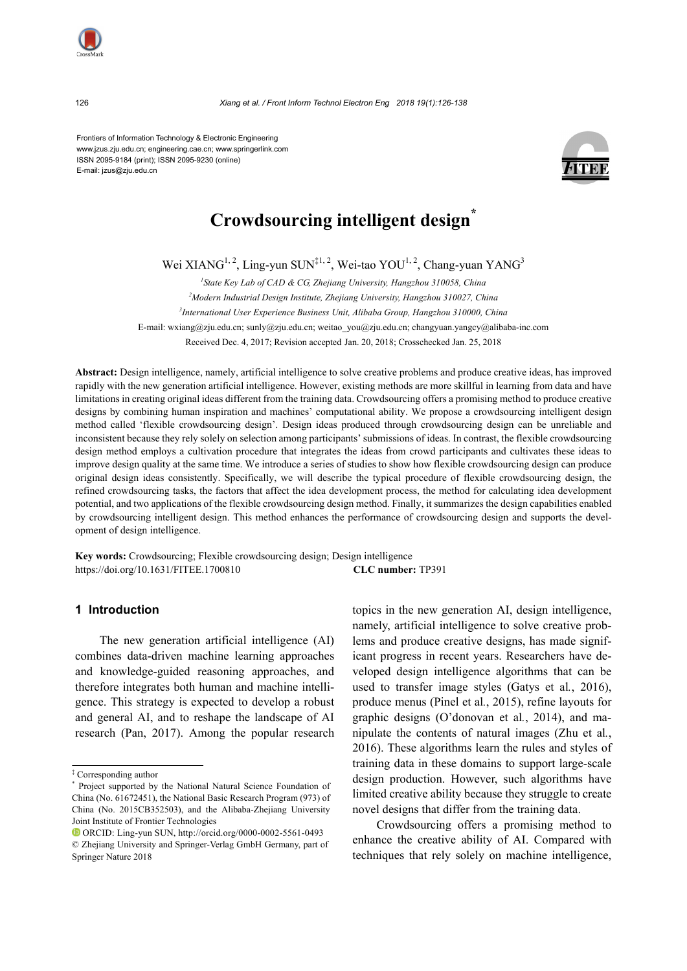Frontiers of Information Technology & Electronic Engineering www.jzus.zju.edu.cn; engineering.cae.cn; www.springerlink.com ISSN 2095-9184 (print); ISSN 2095-9230 (online) E-mail: jzus@zju.edu.cn



# **Crowdsourcing intelligent design\***

Wei XIANG<sup>1, 2</sup>, Ling-yun SUN<sup>‡1, 2</sup>, Wei-tao YOU<sup>1, 2</sup>, Chang-yuan YANG<sup>3</sup>

*1 State Key Lab of CAD & CG, Zhejiang University, Hangzhou 310058, China 2 Modern Industrial Design Institute, Zhejiang University, Hangzhou 310027, China 3 International User Experience Business Unit, Alibaba Group, Hangzhou 310000, China* E-mail: wxiang@zju.edu.cn; sunly@zju.edu.cn; weitao\_you@zju.edu.cn; changyuan.yangcy@alibaba-inc.com Received Dec. 4, 2017; Revision accepted Jan. 20, 2018; Crosschecked Jan. 25, 2018

**Abstract:** Design intelligence, namely, artificial intelligence to solve creative problems and produce creative ideas, has improved rapidly with the new generation artificial intelligence. However, existing methods are more skillful in learning from data and have limitations in creating original ideas different from the training data. Crowdsourcing offers a promising method to produce creative designs by combining human inspiration and machines' computational ability. We propose a crowdsourcing intelligent design method called 'flexible crowdsourcing design'. Design ideas produced through crowdsourcing design can be unreliable and inconsistent because they rely solely on selection among participants' submissions of ideas. In contrast, the flexible crowdsourcing design method employs a cultivation procedure that integrates the ideas from crowd participants and cultivates these ideas to improve design quality at the same time. We introduce a series of studies to show how flexible crowdsourcing design can produce original design ideas consistently. Specifically, we will describe the typical procedure of flexible crowdsourcing design, the refined crowdsourcing tasks, the factors that affect the idea development process, the method for calculating idea development potential, and two applications of the flexible crowdsourcing design method. Finally, it summarizes the design capabilities enabled by crowdsourcing intelligent design. This method enhances the performance of crowdsourcing design and supports the development of design intelligence.

**Key words:** Crowdsourcing; Flexible crowdsourcing design; Design intelligence https://doi.org/10.1631/FITEE.1700810 **CLC number:** TP391

#### **1 Introduction**

The new generation artificial intelligence (AI) combines data-driven machine learning approaches and knowledge-guided reasoning approaches, and therefore integrates both human and machine intelligence. This strategy is expected to develop a robust and general AI, and to reshape the landscape of AI research (Pan, 2017). Among the popular research

topics in the new generation AI, design intelligence, namely, artificial intelligence to solve creative problems and produce creative designs, has made significant progress in recent years. Researchers have developed design intelligence algorithms that can be used to transfer image styles (Gatys et al*.*, 2016), produce menus (Pinel et al*.*, 2015), refine layouts for graphic designs (O'donovan et al*.*, 2014), and manipulate the contents of natural images (Zhu et al*.*, 2016). These algorithms learn the rules and styles of training data in these domains to support large-scale design production. However, such algorithms have limited creative ability because they struggle to create novel designs that differ from the training data.

Crowdsourcing offers a promising method to enhance the creative ability of AI. Compared with techniques that rely solely on machine intelligence,

<sup>‡</sup> Corresponding author

<sup>\*</sup> Project supported by the National Natural Science Foundation of China (No. 61672451), the National Basic Research Program (973) of China (No. 2015CB352503), and the Alibaba-Zhejiang University Joint Institute of Frontier Technologies

ORCID: Ling-yun SUN[, http://orcid.org/0](http://orcid.org/0000-0002-6574-1542)000-0002-5561-0493 © Zhejiang University and Springer-Verlag GmbH Germany, part of Springer Nature 2018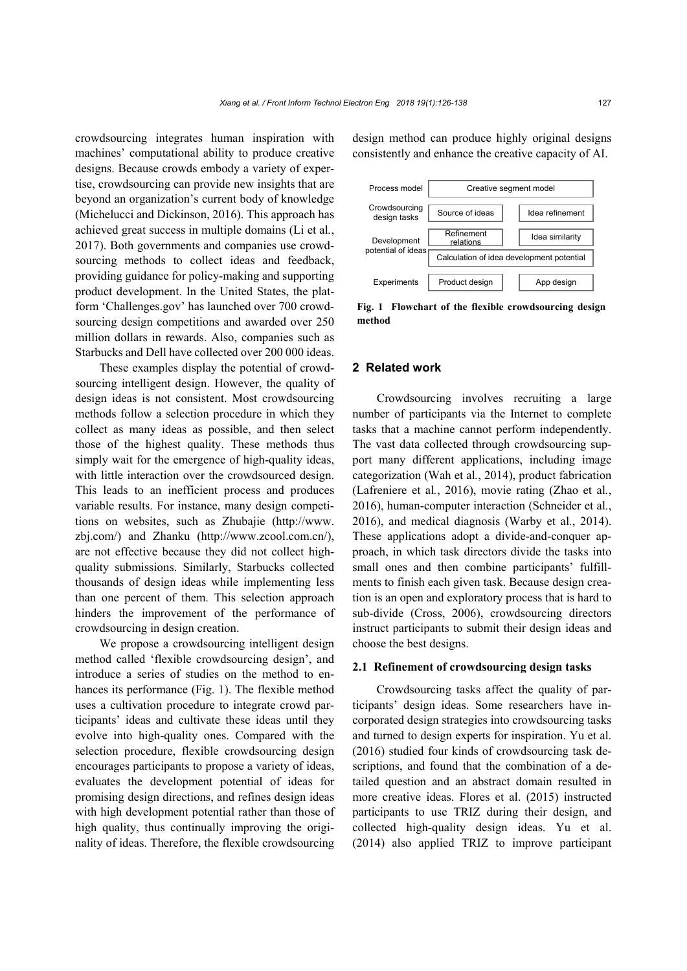crowdsourcing integrates human inspiration with machines' computational ability to produce creative designs. Because crowds embody a variety of expertise, crowdsourcing can provide new insights that are beyond an organization's current body of knowledge (Michelucci and Dickinson, 2016). This approach has achieved great success in multiple domains (Li et al*.*, 2017). Both governments and companies use crowdsourcing methods to collect ideas and feedback, providing guidance for policy-making and supporting product development. In the United States, the platform 'Challenges.gov' has launched over 700 crowdsourcing design competitions and awarded over 250 million dollars in rewards. Also, companies such as Starbucks and Dell have collected over 200 000 ideas.

These examples display the potential of crowdsourcing intelligent design. However, the quality of design ideas is not consistent. Most crowdsourcing methods follow a selection procedure in which they collect as many ideas as possible, and then select those of the highest quality. These methods thus simply wait for the emergence of high-quality ideas, with little interaction over the crowdsourced design. This leads to an inefficient process and produces variable results. For instance, many design competitions on websites, such as Zhubajie (http://www. zbj.com/) and Zhanku (http://www.zcool.com.cn/), are not effective because they did not collect highquality submissions. Similarly, Starbucks collected thousands of design ideas while implementing less than one percent of them. This selection approach hinders the improvement of the performance of crowdsourcing in design creation.

We propose a crowdsourcing intelligent design method called 'flexible crowdsourcing design', and introduce a series of studies on the method to enhances its performance [\(Fig. 1\)](#page-1-0). The flexible method uses a cultivation procedure to integrate crowd participants' ideas and cultivate these ideas until they evolve into high-quality ones. Compared with the selection procedure, flexible crowdsourcing design encourages participants to propose a variety of ideas, evaluates the development potential of ideas for promising design directions, and refines design ideas with high development potential rather than those of high quality, thus continually improving the originality of ideas. Therefore, the flexible crowdsourcing

design method can produce highly original designs consistently and enhance the creative capacity of AI.



<span id="page-1-0"></span>**Fig. 1 Flowchart of the flexible crowdsourcing design method**

#### **2 Related work**

Crowdsourcing involves recruiting a large number of participants via the Internet to complete tasks that a machine cannot perform independently. The vast data collected through crowdsourcing support many different applications, including image categorization (Wah et al*.*, 2014), product fabrication (Lafreniere et al*.*, 2016), movie rating (Zhao et al*.*, 2016), human-computer interaction (Schneider et al*.*, 2016), and medical diagnosis (Warby et al*.*, 2014). These applications adopt a divide-and-conquer approach, in which task directors divide the tasks into small ones and then combine participants' fulfillments to finish each given task. Because design creation is an open and exploratory process that is hard to sub-divide (Cross, 2006), crowdsourcing directors instruct participants to submit their design ideas and choose the best designs.

#### **2.1 Refinement of crowdsourcing design tasks**

Crowdsourcing tasks affect the quality of participants' design ideas. Some researchers have incorporated design strategies into crowdsourcing tasks and turned to design experts for inspiration. Yu et al. (2016) studied four kinds of crowdsourcing task descriptions, and found that the combination of a detailed question and an abstract domain resulted in more creative ideas. Flores et al. (2015) instructed participants to use TRIZ during their design, and collected high-quality design ideas. Yu et al. (2014) also applied TRIZ to improve participant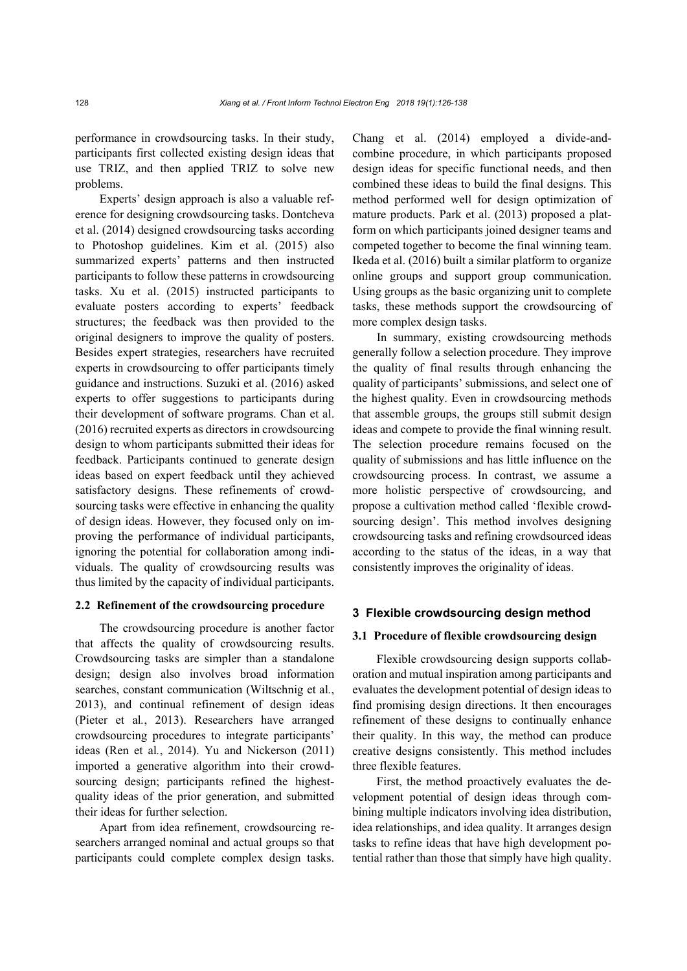performance in crowdsourcing tasks. In their study, participants first collected existing design ideas that use TRIZ, and then applied TRIZ to solve new problems.

Experts' design approach is also a valuable reference for designing crowdsourcing tasks. Dontcheva et al. (2014) designed crowdsourcing tasks according to Photoshop guidelines. Kim et al. (2015) also summarized experts' patterns and then instructed participants to follow these patterns in crowdsourcing tasks. Xu et al. (2015) instructed participants to evaluate posters according to experts' feedback structures; the feedback was then provided to the original designers to improve the quality of posters. Besides expert strategies, researchers have recruited experts in crowdsourcing to offer participants timely guidance and instructions. Suzuki et al. (2016) asked experts to offer suggestions to participants during their development of software programs. Chan et al. (2016) recruited experts as directors in crowdsourcing design to whom participants submitted their ideas for feedback. Participants continued to generate design ideas based on expert feedback until they achieved satisfactory designs. These refinements of crowdsourcing tasks were effective in enhancing the quality of design ideas. However, they focused only on improving the performance of individual participants, ignoring the potential for collaboration among individuals. The quality of crowdsourcing results was thus limited by the capacity of individual participants.

#### **2.2 Refinement of the crowdsourcing procedure**

The crowdsourcing procedure is another factor that affects the quality of crowdsourcing results. Crowdsourcing tasks are simpler than a standalone design; design also involves broad information searches, constant communication (Wiltschnig et al*.*, 2013), and continual refinement of design ideas (Pieter et al*.*, 2013). Researchers have arranged crowdsourcing procedures to integrate participants' ideas (Ren et al*.*, 2014). Yu and Nickerson (2011) imported a generative algorithm into their crowdsourcing design; participants refined the highestquality ideas of the prior generation, and submitted their ideas for further selection.

Apart from idea refinement, crowdsourcing researchers arranged nominal and actual groups so that participants could complete complex design tasks.

Chang et al. (2014) employed a divide-andcombine procedure, in which participants proposed design ideas for specific functional needs, and then combined these ideas to build the final designs. This method performed well for design optimization of mature products. Park et al. (2013) proposed a platform on which participants joined designer teams and competed together to become the final winning team. Ikeda et al. (2016) built a similar platform to organize online groups and support group communication. Using groups as the basic organizing unit to complete tasks, these methods support the crowdsourcing of more complex design tasks.

In summary, existing crowdsourcing methods generally follow a selection procedure. They improve the quality of final results through enhancing the quality of participants' submissions, and select one of the highest quality. Even in crowdsourcing methods that assemble groups, the groups still submit design ideas and compete to provide the final winning result. The selection procedure remains focused on the quality of submissions and has little influence on the crowdsourcing process. In contrast, we assume a more holistic perspective of crowdsourcing, and propose a cultivation method called 'flexible crowdsourcing design'. This method involves designing crowdsourcing tasks and refining crowdsourced ideas according to the status of the ideas, in a way that consistently improves the originality of ideas.

#### **3 Flexible crowdsourcing design method**

### **3.1 Procedure of flexible crowdsourcing design**

Flexible crowdsourcing design supports collaboration and mutual inspiration among participants and evaluates the development potential of design ideas to find promising design directions. It then encourages refinement of these designs to continually enhance their quality. In this way, the method can produce creative designs consistently. This method includes three flexible features.

First, the method proactively evaluates the development potential of design ideas through combining multiple indicators involving idea distribution, idea relationships, and idea quality. It arranges design tasks to refine ideas that have high development potential rather than those that simply have high quality.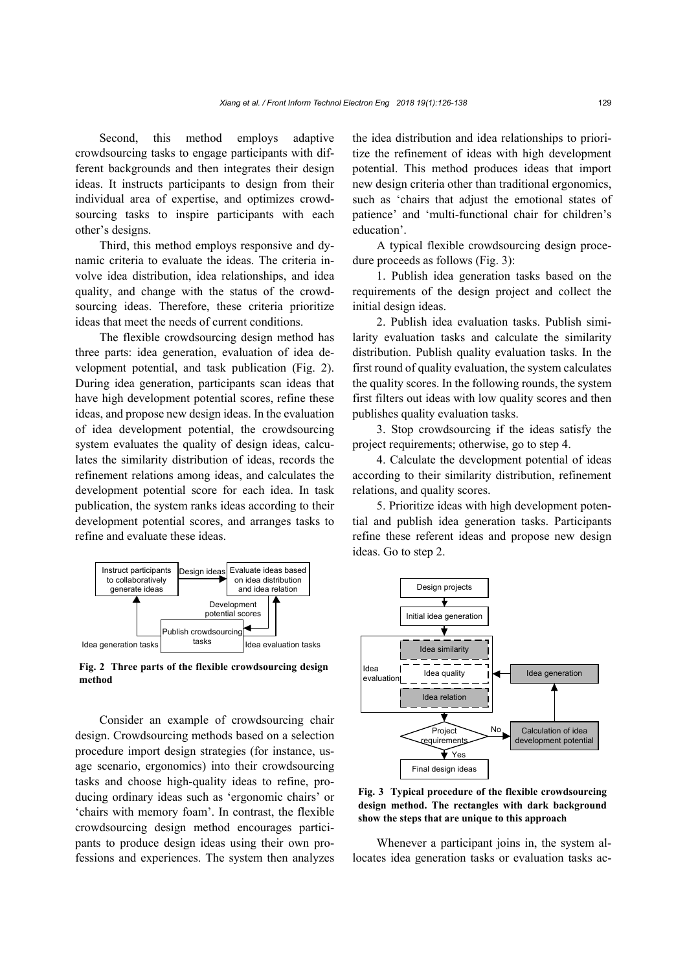Second, this method employs adaptive crowdsourcing tasks to engage participants with different backgrounds and then integrates their design ideas. It instructs participants to design from their individual area of expertise, and optimizes crowdsourcing tasks to inspire participants with each other's designs.

Third, this method employs responsive and dynamic criteria to evaluate the ideas. The criteria involve idea distribution, idea relationships, and idea quality, and change with the status of the crowdsourcing ideas. Therefore, these criteria prioritize ideas that meet the needs of current conditions.

The flexible crowdsourcing design method has three parts: idea generation, evaluation of idea development potential, and task publication [\(Fig. 2\)](#page-3-0). During idea generation, participants scan ideas that have high development potential scores, refine these ideas, and propose new design ideas. In the evaluation of idea development potential, the crowdsourcing system evaluates the quality of design ideas, calculates the similarity distribution of ideas, records the refinement relations among ideas, and calculates the development potential score for each idea. In task publication, the system ranks ideas according to their development potential scores, and arranges tasks to refine and evaluate these ideas.



<span id="page-3-0"></span>**Fig. 2 Three parts of the flexible crowdsourcing design method**

Consider an example of crowdsourcing chair design. Crowdsourcing methods based on a selection procedure import design strategies (for instance, usage scenario, ergonomics) into their crowdsourcing tasks and choose high-quality ideas to refine, producing ordinary ideas such as 'ergonomic chairs' or 'chairs with memory foam'. In contrast, the flexible crowdsourcing design method encourages participants to produce design ideas using their own professions and experiences. The system then analyzes the idea distribution and idea relationships to prioritize the refinement of ideas with high development potential. This method produces ideas that import new design criteria other than traditional ergonomics, such as 'chairs that adjust the emotional states of patience' and 'multi-functional chair for children's education'.

A typical flexible crowdsourcing design procedure proceeds as follows [\(Fig. 3\)](#page-3-1):

1. Publish idea generation tasks based on the requirements of the design project and collect the initial design ideas.

2. Publish idea evaluation tasks. Publish similarity evaluation tasks and calculate the similarity distribution. Publish quality evaluation tasks. In the first round of quality evaluation, the system calculates the quality scores. In the following rounds, the system first filters out ideas with low quality scores and then publishes quality evaluation tasks.

3. Stop crowdsourcing if the ideas satisfy the project requirements; otherwise, go to step 4.

4. Calculate the development potential of ideas according to their similarity distribution, refinement relations, and quality scores.

5. Prioritize ideas with high development potential and publish idea generation tasks. Participants refine these referent ideas and propose new design ideas. Go to step 2.



<span id="page-3-1"></span>**Fig. 3 Typical procedure of the flexible crowdsourcing design method. The rectangles with dark background show the steps that are unique to this approach**

Whenever a participant joins in, the system allocates idea generation tasks or evaluation tasks ac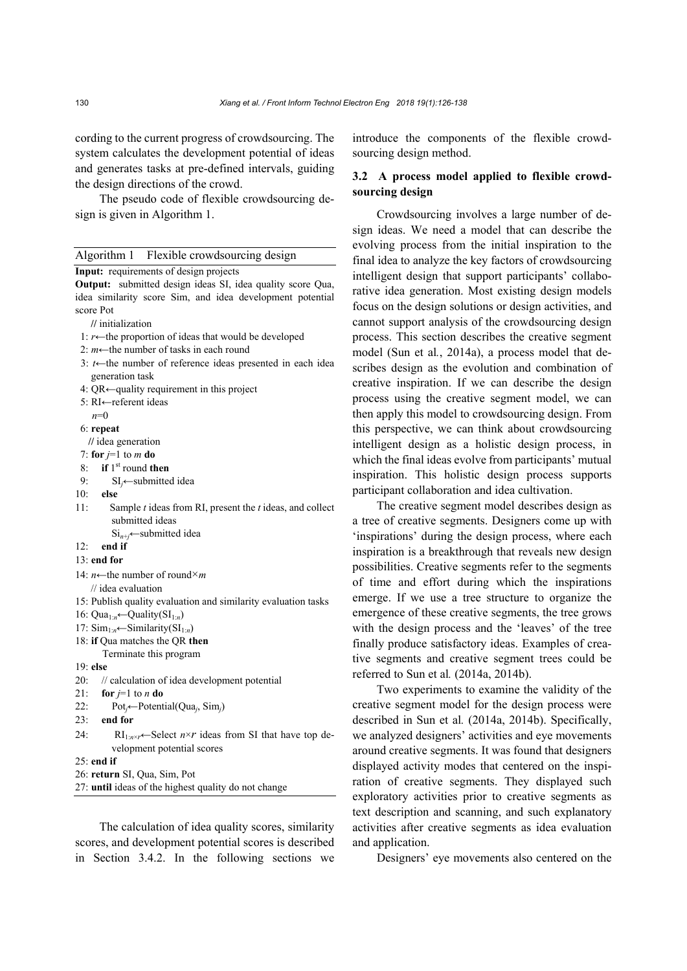cording to the current progress of crowdsourcing. The system calculates the development potential of ideas and generates tasks at pre-defined intervals, guiding the design directions of the crowd.

The pseudo code of flexible crowdsourcing design is given in Algorithm 1.

| Algorithm 1 Flexible crowdsourcing design                                      |
|--------------------------------------------------------------------------------|
| Input: requirements of design projects                                         |
| Output: submitted design ideas SI, idea quality score Qua,                     |
| idea similarity score Sim, and idea development potential                      |
| score Pot                                                                      |
| // initialization                                                              |
| 1: $r \leftarrow$ the proportion of ideas that would be developed              |
| 2: $m \leftarrow$ the number of tasks in each round                            |
| 3: $t \leftarrow$ the number of reference ideas presented in each idea         |
| generation task                                                                |
| 4: QR $\leftarrow$ quality requirement in this project                         |
| 5: $RI \leftarrow$ referent ideas                                              |
| $n=0$                                                                          |
| 6: repeat                                                                      |
| // idea generation                                                             |
| 7: for $j=1$ to m do                                                           |
| if $1st$ round then<br>8:                                                      |
| $SI_i$ submitted idea<br>9:                                                    |
| 10:<br>else                                                                    |
| 11:<br>Sample $t$ ideas from RI, present the $t$ ideas, and collect            |
| submitted ideas                                                                |
| $Si_{n+j}$ submitted idea                                                      |
| 12:<br>end if                                                                  |
| $13:$ end for                                                                  |
| 14: $n \leftarrow$ the number of round×m                                       |
| $\frac{1}{1}$ idea evaluation                                                  |
| 15: Publish quality evaluation and similarity evaluation tasks                 |
| 16: Qua <sub>1:n</sub> $\leftarrow$ Quality(SI <sub>1:n</sub> )                |
| 17: $\text{Sim}_{1:n} \leftarrow \text{Similarity}(\text{SI}_{1:n})$           |
| 18: if Qua matches the QR then                                                 |
| Terminate this program                                                         |
| $19:$ else                                                                     |
| 20:<br>// calculation of idea development potential                            |
| 21:<br>for $j=1$ to <i>n</i> do                                                |
| 22:<br>$Poti \leftarrow Potential(Quai, Simi)$                                 |
| 23:<br>end for                                                                 |
| 24:<br>$RI_{1:n \times r}$ Select $n \times r$ ideas from SI that have top de- |
| velopment potential scores                                                     |
| $25:$ end if                                                                   |
| 26: return SI, Qua, Sim, Pot                                                   |
| 27: until ideas of the highest quality do not change                           |

The calculation of idea quality scores, similarity scores, and development potential scores is described in Section 3.4.2. In the following sections we introduce the components of the flexible crowdsourcing design method.

# **3.2 A process model applied to flexible crowdsourcing design**

Crowdsourcing involves a large number of design ideas. We need a model that can describe the evolving process from the initial inspiration to the final idea to analyze the key factors of crowdsourcing intelligent design that support participants' collaborative idea generation. Most existing design models focus on the design solutions or design activities, and cannot support analysis of the crowdsourcing design process. This section describes the creative segment model (Sun et al*.*, 2014a), a process model that describes design as the evolution and combination of creative inspiration. If we can describe the design process using the creative segment model, we can then apply this model to crowdsourcing design. From this perspective, we can think about crowdsourcing intelligent design as a holistic design process, in which the final ideas evolve from participants' mutual inspiration. This holistic design process supports participant collaboration and idea cultivation.

The creative segment model describes design as a tree of creative segments. Designers come up with 'inspirations' during the design process, where each inspiration is a breakthrough that reveals new design possibilities. Creative segments refer to the segments of time and effort during which the inspirations emerge. If we use a tree structure to organize the emergence of these creative segments, the tree grows with the design process and the 'leaves' of the tree finally produce satisfactory ideas. Examples of creative segments and creative segment trees could be referred to Sun et al*.* (2014a, 2014b).

Two experiments to examine the validity of the creative segment model for the design process were described in Sun et al*.* (2014a, 2014b). Specifically, we analyzed designers' activities and eye movements around creative segments. It was found that designers displayed activity modes that centered on the inspiration of creative segments. They displayed such exploratory activities prior to creative segments as text description and scanning, and such explanatory activities after creative segments as idea evaluation and application.

Designers' eye movements also centered on the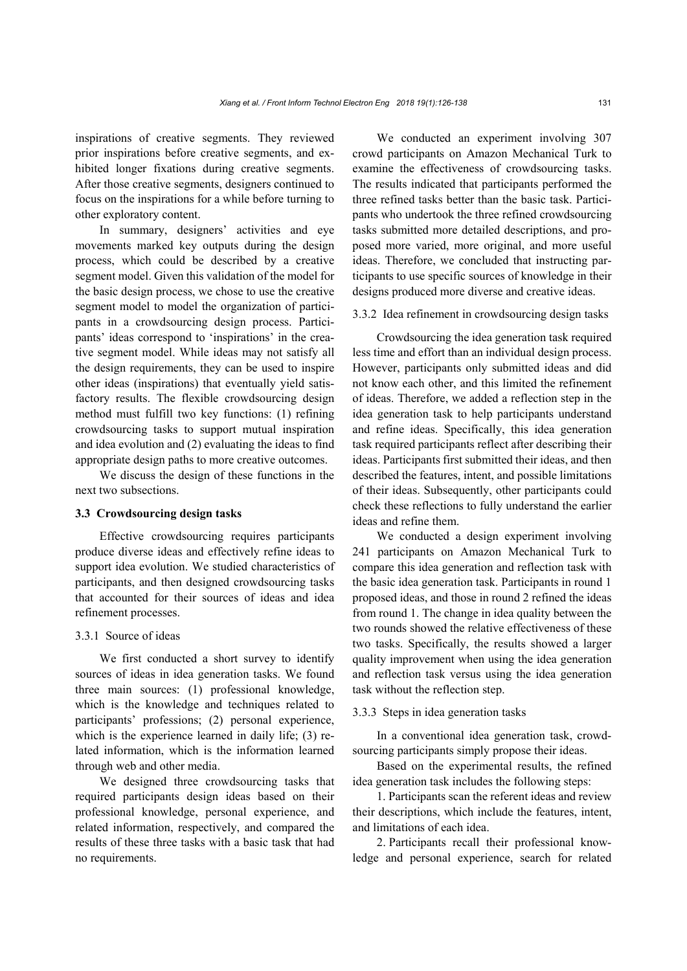inspirations of creative segments. They reviewed prior inspirations before creative segments, and exhibited longer fixations during creative segments. After those creative segments, designers continued to focus on the inspirations for a while before turning to other exploratory content.

In summary, designers' activities and eye movements marked key outputs during the design process, which could be described by a creative segment model. Given this validation of the model for the basic design process, we chose to use the creative segment model to model the organization of participants in a crowdsourcing design process. Participants' ideas correspond to 'inspirations' in the creative segment model. While ideas may not satisfy all the design requirements, they can be used to inspire other ideas (inspirations) that eventually yield satisfactory results. The flexible crowdsourcing design method must fulfill two key functions: (1) refining crowdsourcing tasks to support mutual inspiration and idea evolution and (2) evaluating the ideas to find appropriate design paths to more creative outcomes.

We discuss the design of these functions in the next two subsections.

#### **3.3 Crowdsourcing design tasks**

Effective crowdsourcing requires participants produce diverse ideas and effectively refine ideas to support idea evolution. We studied characteristics of participants, and then designed crowdsourcing tasks that accounted for their sources of ideas and idea refinement processes.

### 3.3.1 Source of ideas

We first conducted a short survey to identify sources of ideas in idea generation tasks. We found three main sources: (1) professional knowledge, which is the knowledge and techniques related to participants' professions; (2) personal experience, which is the experience learned in daily life; (3) related information, which is the information learned through web and other media.

We designed three crowdsourcing tasks that required participants design ideas based on their professional knowledge, personal experience, and related information, respectively, and compared the results of these three tasks with a basic task that had no requirements.

We conducted an experiment involving 307 crowd participants on Amazon Mechanical Turk to examine the effectiveness of crowdsourcing tasks. The results indicated that participants performed the three refined tasks better than the basic task. Participants who undertook the three refined crowdsourcing tasks submitted more detailed descriptions, and proposed more varied, more original, and more useful ideas. Therefore, we concluded that instructing participants to use specific sources of knowledge in their designs produced more diverse and creative ideas.

## 3.3.2 Idea refinement in crowdsourcing design tasks

Crowdsourcing the idea generation task required less time and effort than an individual design process. However, participants only submitted ideas and did not know each other, and this limited the refinement of ideas. Therefore, we added a reflection step in the idea generation task to help participants understand and refine ideas. Specifically, this idea generation task required participants reflect after describing their ideas. Participants first submitted their ideas, and then described the features, intent, and possible limitations of their ideas. Subsequently, other participants could check these reflections to fully understand the earlier ideas and refine them.

We conducted a design experiment involving 241 participants on Amazon Mechanical Turk to compare this idea generation and reflection task with the basic idea generation task. Participants in round 1 proposed ideas, and those in round 2 refined the ideas from round 1. The change in idea quality between the two rounds showed the relative effectiveness of these two tasks. Specifically, the results showed a larger quality improvement when using the idea generation and reflection task versus using the idea generation task without the reflection step.

# 3.3.3 Steps in idea generation tasks

In a conventional idea generation task, crowdsourcing participants simply propose their ideas.

Based on the experimental results, the refined idea generation task includes the following steps:

1. Participants scan the referent ideas and review their descriptions, which include the features, intent, and limitations of each idea.

2. Participants recall their professional knowledge and personal experience, search for related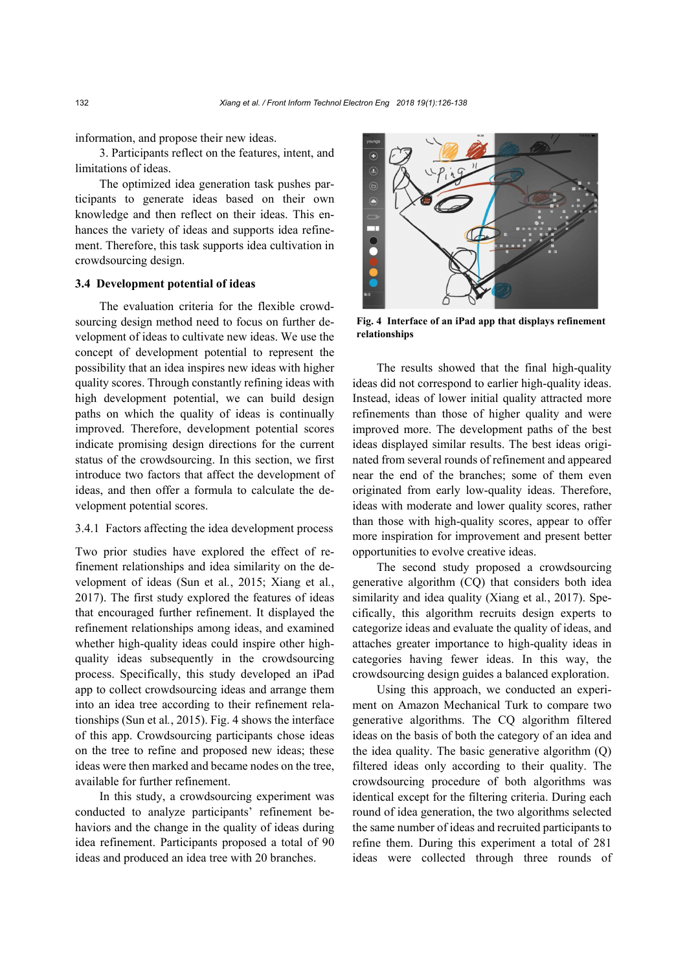information, and propose their new ideas.

3. Participants reflect on the features, intent, and limitations of ideas.

The optimized idea generation task pushes participants to generate ideas based on their own knowledge and then reflect on their ideas. This enhances the variety of ideas and supports idea refinement. Therefore, this task supports idea cultivation in crowdsourcing design.

# **3.4 Development potential of ideas**

The evaluation criteria for the flexible crowdsourcing design method need to focus on further development of ideas to cultivate new ideas. We use the concept of development potential to represent the possibility that an idea inspires new ideas with higher quality scores. Through constantly refining ideas with high development potential, we can build design paths on which the quality of ideas is continually improved. Therefore, development potential scores indicate promising design directions for the current status of the crowdsourcing. In this section, we first introduce two factors that affect the development of ideas, and then offer a formula to calculate the development potential scores.

## 3.4.1 Factors affecting the idea development process

Two prior studies have explored the effect of refinement relationships and idea similarity on the development of ideas (Sun et al*.*, 2015; Xiang et al*.*, 2017). The first study explored the features of ideas that encouraged further refinement. It displayed the refinement relationships among ideas, and examined whether high-quality ideas could inspire other highquality ideas subsequently in the crowdsourcing process. Specifically, this study developed an iPad app to collect crowdsourcing ideas and arrange them into an idea tree according to their refinement relationships (Sun et al*.*, 2015)[. Fig. 4](#page-6-0) shows the interface of this app. Crowdsourcing participants chose ideas on the tree to refine and proposed new ideas; these ideas were then marked and became nodes on the tree, available for further refinement.

In this study, a crowdsourcing experiment was conducted to analyze participants' refinement behaviors and the change in the quality of ideas during idea refinement. Participants proposed a total of 90 ideas and produced an idea tree with 20 branches.



**Fig. 4 Interface of an iPad app that displays refinement relationships**

<span id="page-6-0"></span>The results showed that the final high-quality ideas did not correspond to earlier high-quality ideas. Instead, ideas of lower initial quality attracted more refinements than those of higher quality and were improved more. The development paths of the best ideas displayed similar results. The best ideas originated from several rounds of refinement and appeared near the end of the branches; some of them even originated from early low-quality ideas. Therefore, ideas with moderate and lower quality scores, rather than those with high-quality scores, appear to offer more inspiration for improvement and present better opportunities to evolve creative ideas.

The second study proposed a crowdsourcing generative algorithm (CQ) that considers both idea similarity and idea quality (Xiang et al*.*, 2017). Specifically, this algorithm recruits design experts to categorize ideas and evaluate the quality of ideas, and attaches greater importance to high-quality ideas in categories having fewer ideas. In this way, the crowdsourcing design guides a balanced exploration.

Using this approach, we conducted an experiment on Amazon Mechanical Turk to compare two generative algorithms. The CQ algorithm filtered ideas on the basis of both the category of an idea and the idea quality. The basic generative algorithm (Q) filtered ideas only according to their quality. The crowdsourcing procedure of both algorithms was identical except for the filtering criteria. During each round of idea generation, the two algorithms selected the same number of ideas and recruited participants to refine them. During this experiment a total of 281 ideas were collected through three rounds of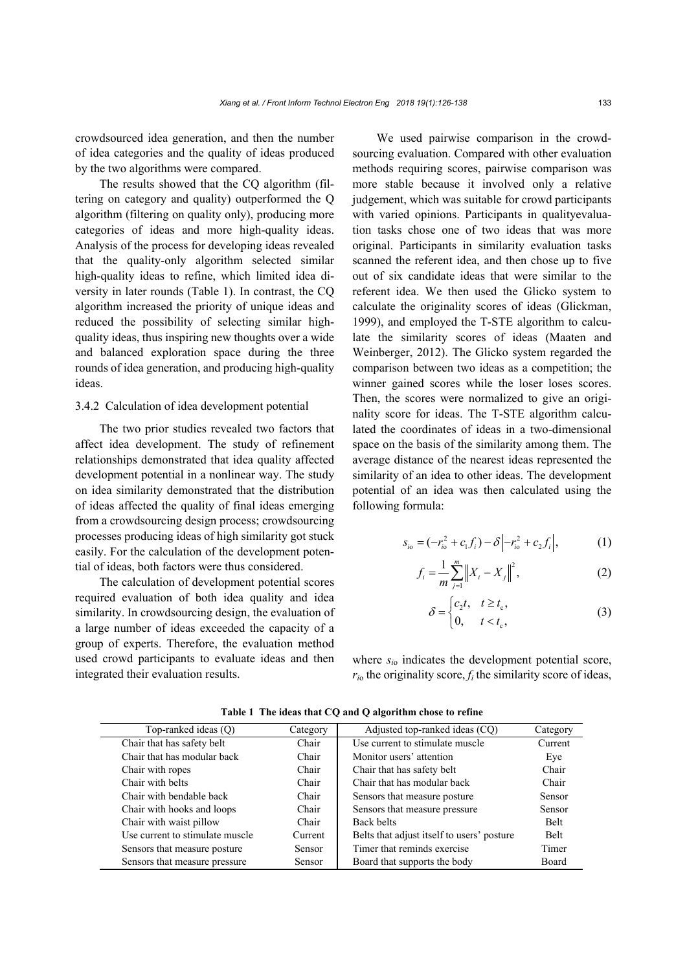crowdsourced idea generation, and then the number of idea categories and the quality of ideas produced by the two algorithms were compared.

The results showed that the CQ algorithm (filtering on category and quality) outperformed the Q algorithm (filtering on quality only), producing more categories of ideas and more high-quality ideas. Analysis of the process for developing ideas revealed that the quality-only algorithm selected similar high-quality ideas to refine, which limited idea diversity in later rounds [\(Table 1\)](#page-7-0). In contrast, the CQ algorithm increased the priority of unique ideas and reduced the possibility of selecting similar highquality ideas, thus inspiring new thoughts over a wide and balanced exploration space during the three rounds of idea generation, and producing high-quality ideas.

### 3.4.2 Calculation of idea development potential

The two prior studies revealed two factors that affect idea development. The study of refinement relationships demonstrated that idea quality affected development potential in a nonlinear way. The study on idea similarity demonstrated that the distribution of ideas affected the quality of final ideas emerging from a crowdsourcing design process; crowdsourcing processes producing ideas of high similarity got stuck easily. For the calculation of the development potential of ideas, both factors were thus considered.

The calculation of development potential scores required evaluation of both idea quality and idea similarity. In crowdsourcing design, the evaluation of a large number of ideas exceeded the capacity of a group of experts. Therefore, the evaluation method used crowd participants to evaluate ideas and then integrated their evaluation results.

We used pairwise comparison in the crowdsourcing evaluation. Compared with other evaluation methods requiring scores, pairwise comparison was more stable because it involved only a relative judgement, which was suitable for crowd participants with varied opinions. Participants in qualityevaluation tasks chose one of two ideas that was more original. Participants in similarity evaluation tasks scanned the referent idea, and then chose up to five out of six candidate ideas that were similar to the referent idea. We then used the Glicko system to calculate the originality scores of ideas (Glickman, 1999), and employed the T-STE algorithm to calculate the similarity scores of ideas (Maaten and Weinberger, 2012). The Glicko system regarded the comparison between two ideas as a competition; the winner gained scores while the loser loses scores. Then, the scores were normalized to give an originality score for ideas. The T-STE algorithm calculated the coordinates of ideas in a two-dimensional space on the basis of the similarity among them. The average distance of the nearest ideas represented the similarity of an idea to other ideas. The development potential of an idea was then calculated using the following formula:

$$
s_{i0} = (-r_{i0}^2 + c_1 f_i) - \delta \left| -r_{i0}^2 + c_2 f_i \right|, \tag{1}
$$

$$
f_i = \frac{1}{m} \sum_{j=1}^{m} \left\| X_i - X_j \right\|^2, \tag{2}
$$

$$
\delta = \begin{cases} c_2 t, & t \ge t_c, \\ 0, & t < t_c, \end{cases} \tag{3}
$$

where  $s_{io}$  indicates the development potential score,  $r_{i0}$  the originality score,  $f_i$  the similarity score of ideas,

<span id="page-7-0"></span>

| Top-ranked ideas $(Q)$          | Category      | Adjusted top-ranked ideas (CQ)             | Category    |
|---------------------------------|---------------|--------------------------------------------|-------------|
| Chair that has safety belt      | Chair         | Use current to stimulate muscle            | Current     |
| Chair that has modular back     | Chair         | Monitor users' attention                   | Eye         |
| Chair with ropes                | Chair         | Chair that has safety belt                 | Chair       |
| Chair with belts                | Chair         | Chair that has modular back                | Chair       |
| Chair with bendable back        | Chair         | Sensors that measure posture               | Sensor      |
| Chair with hooks and loops      | Chair         | Sensors that measure pressure              | Sensor      |
| Chair with waist pillow         | Chair         | Back belts                                 | <b>Belt</b> |
| Use current to stimulate muscle | Current       | Belts that adjust itself to users' posture | <b>Belt</b> |
| Sensors that measure posture    | <b>Sensor</b> | Timer that reminds exercise                | Timer       |
| Sensors that measure pressure   | Sensor        | Board that supports the body               | Board       |
|                                 |               |                                            |             |

**Table 1 The ideas that CQ and Q algorithm chose to refine**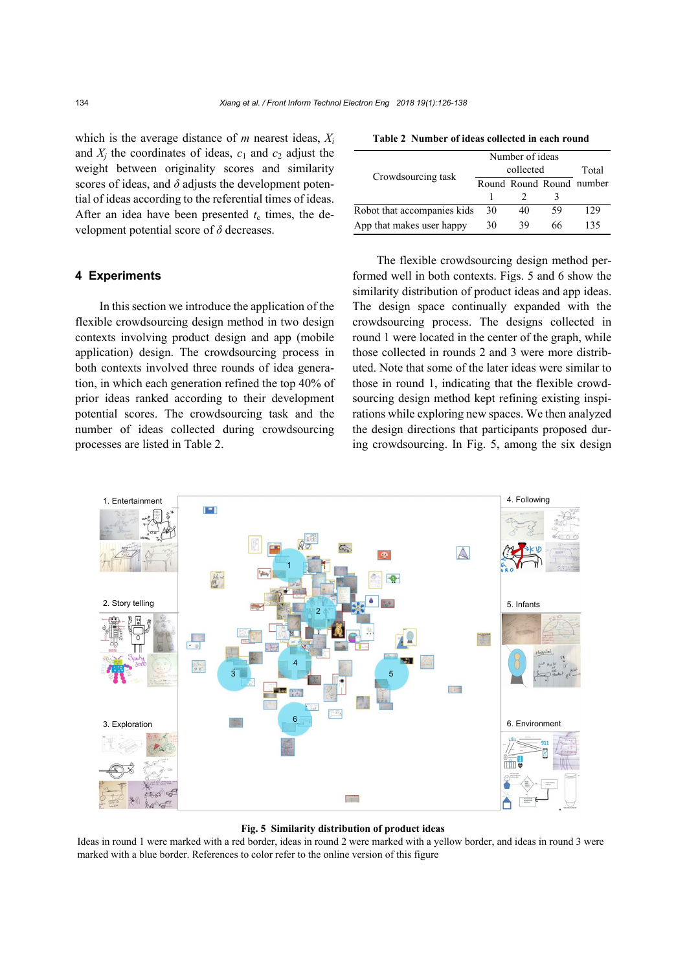which is the average distance of *m* nearest ideas, *Xi* and  $X_i$  the coordinates of ideas,  $c_1$  and  $c_2$  adjust the weight between originality scores and similarity scores of ideas, and  $\delta$  adjusts the development potential of ideas according to the referential times of ideas. After an idea have been presented  $t_c$  times, the development potential score of *δ* decreases.

#### **4 Experiments**

In this section we introduce the application of the flexible crowdsourcing design method in two design contexts involving product design and app (mobile application) design. The crowdsourcing process in both contexts involved three rounds of idea generation, in which each generation refined the top 40% of prior ideas ranked according to their development potential scores. The crowdsourcing task and the number of ideas collected during crowdsourcing processes are listed i[n Table 2.](#page-8-0)

<span id="page-8-0"></span>**Table 2 Number of ideas collected in each round**

|                             | Number of ideas |    |    |                          |
|-----------------------------|-----------------|----|----|--------------------------|
| Crowdsourcing task          | collected       |    |    | Total                    |
|                             |                 |    |    | Round Round Round number |
|                             |                 |    |    |                          |
| Robot that accompanies kids | 30              | 40 | 59 | 129                      |
| App that makes user happy   | 30              | 39 | 66 | 135                      |

The flexible crowdsourcing design method performed well in both contexts. Figs. 5 and 6 show the similarity distribution of product ideas and app ideas. The design space continually expanded with the crowdsourcing process. The designs collected in round 1 were located in the center of the graph, while those collected in rounds 2 and 3 were more distributed. Note that some of the later ideas were similar to those in round 1, indicating that the flexible crowdsourcing design method kept refining existing inspirations while exploring new spaces. We then analyzed the design directions that participants proposed during crowdsourcing. In [Fig. 5,](#page-8-1) among the six design



#### **Fig. 5 Similarity distribution of product ideas**

<span id="page-8-1"></span>Ideas in round 1 were marked with a red border, ideas in round 2 were marked with a yellow border, and ideas in round 3 were marked with a blue border. References to color refer to the online version of this figure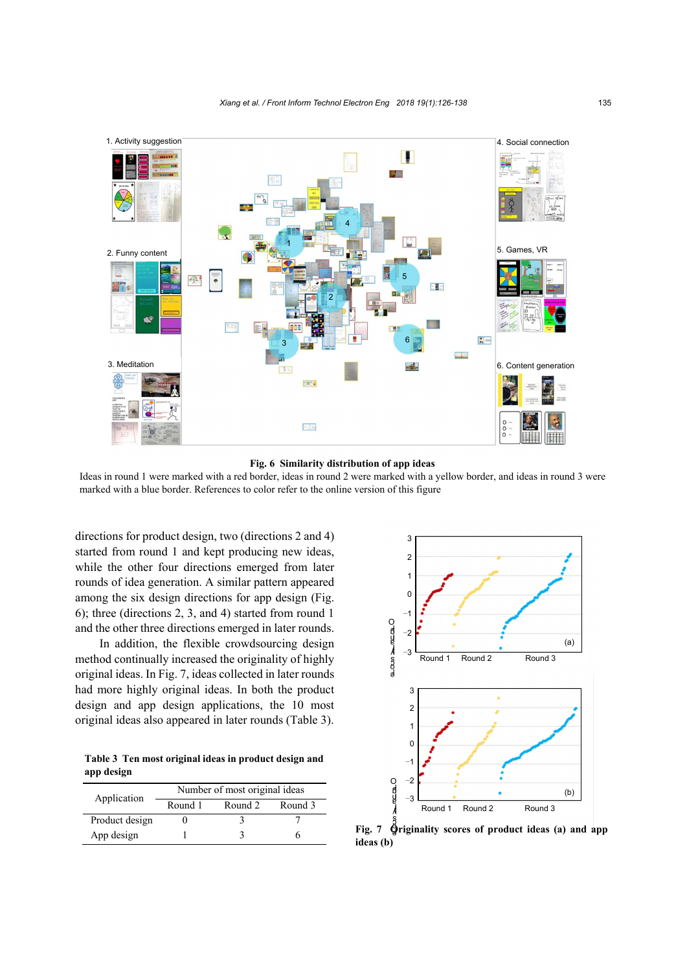

**Fig. 6 Similarity distribution of app ideas**

<span id="page-9-0"></span>Ideas in round 1 were marked with a red border, ideas in round 2 were marked with a yellow border, and ideas in round 3 were marked with a blue border. References to color refer to the online version of this figure

directions for product design, two (directions 2 and 4) started from round 1 and kept producing new ideas, while the other four directions emerged from later rounds of idea generation. A similar pattern appeared among the six design directions for app design [\(Fig.](#page-9-0)  [6\)](#page-9-0); three (directions 2, 3, and 4) started from round 1 and the other three directions emerged in later rounds.

In addition, the flexible crowdsourcing design method continually increased the originality of highly original ideas. I[n Fig. 7,](#page-9-1) ideas collected in later rounds had more highly original ideas. In both the product design and app design applications, the 10 most original ideas also appeared in later rounds [\(Table 3\)](#page-9-2).

<span id="page-9-2"></span>**Table 3 Ten most original ideas in product design and app design**

|                | Number of most original ideas |         |         |  |  |
|----------------|-------------------------------|---------|---------|--|--|
| Application    | Round 1                       | Round 2 | Round 3 |  |  |
| Product design |                               |         |         |  |  |
| App design     |                               |         |         |  |  |



<span id="page-9-1"></span>Fig. 7  $\hat{Q}$  riginality scores of product ideas (a) and app **ideas (b)**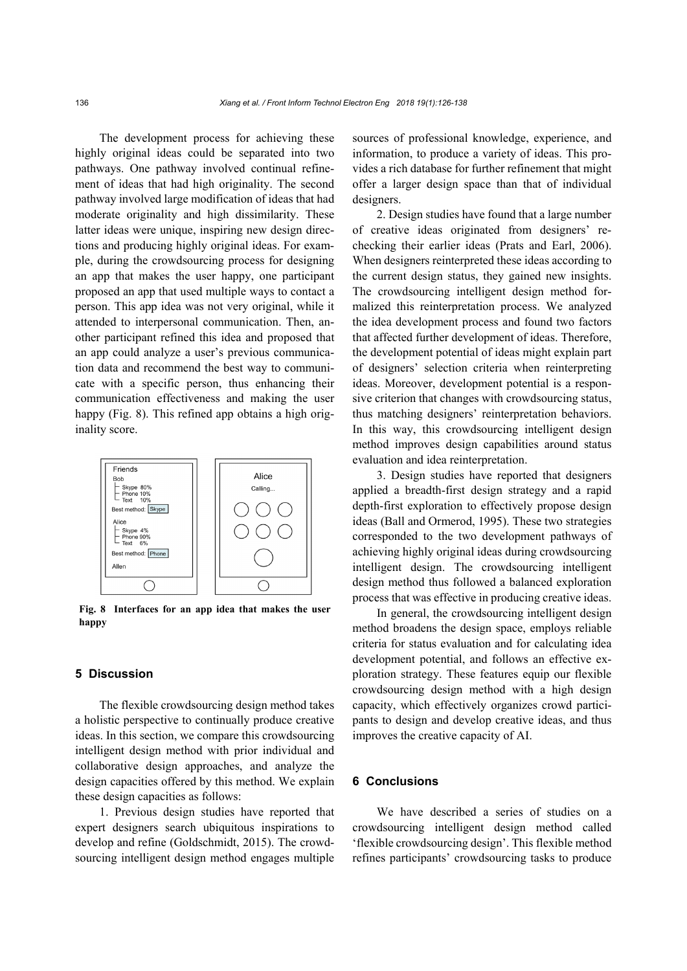The development process for achieving these highly original ideas could be separated into two pathways. One pathway involved continual refinement of ideas that had high originality. The second pathway involved large modification of ideas that had moderate originality and high dissimilarity. These latter ideas were unique, inspiring new design directions and producing highly original ideas. For example, during the crowdsourcing process for designing an app that makes the user happy, one participant proposed an app that used multiple ways to contact a person. This app idea was not very original, while it attended to interpersonal communication. Then, another participant refined this idea and proposed that an app could analyze a user's previous communication data and recommend the best way to communicate with a specific person, thus enhancing their communication effectiveness and making the user happy [\(Fig. 8\)](#page-10-0). This refined app obtains a high originality score.



<span id="page-10-0"></span>**Fig. 8 Interfaces for an app idea that makes the user happy**

# **5 Discussion**

The flexible crowdsourcing design method takes a holistic perspective to continually produce creative ideas. In this section, we compare this crowdsourcing intelligent design method with prior individual and collaborative design approaches, and analyze the design capacities offered by this method. We explain these design capacities as follows:

1. Previous design studies have reported that expert designers search ubiquitous inspirations to develop and refine (Goldschmidt, 2015). The crowdsourcing intelligent design method engages multiple sources of professional knowledge, experience, and information, to produce a variety of ideas. This provides a rich database for further refinement that might offer a larger design space than that of individual designers.

2. Design studies have found that a large number of creative ideas originated from designers' rechecking their earlier ideas (Prats and Earl, 2006). When designers reinterpreted these ideas according to the current design status, they gained new insights. The crowdsourcing intelligent design method formalized this reinterpretation process. We analyzed the idea development process and found two factors that affected further development of ideas. Therefore, the development potential of ideas might explain part of designers' selection criteria when reinterpreting ideas. Moreover, development potential is a responsive criterion that changes with crowdsourcing status, thus matching designers' reinterpretation behaviors. In this way, this crowdsourcing intelligent design method improves design capabilities around status evaluation and idea reinterpretation.

3. Design studies have reported that designers applied a breadth-first design strategy and a rapid depth-first exploration to effectively propose design ideas (Ball and Ormerod, 1995). These two strategies corresponded to the two development pathways of achieving highly original ideas during crowdsourcing intelligent design. The crowdsourcing intelligent design method thus followed a balanced exploration process that was effective in producing creative ideas.

In general, the crowdsourcing intelligent design method broadens the design space, employs reliable criteria for status evaluation and for calculating idea development potential, and follows an effective exploration strategy. These features equip our flexible crowdsourcing design method with a high design capacity, which effectively organizes crowd participants to design and develop creative ideas, and thus improves the creative capacity of AI.

# **6 Conclusions**

We have described a series of studies on a crowdsourcing intelligent design method called 'flexible crowdsourcing design'. This flexible method refines participants' crowdsourcing tasks to produce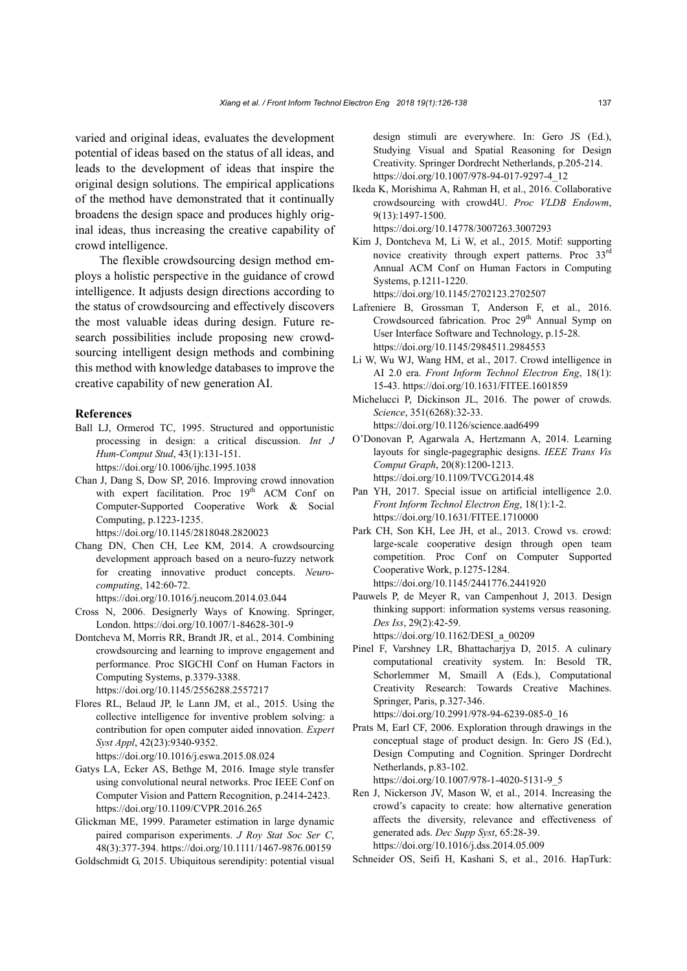varied and original ideas, evaluates the development potential of ideas based on the status of all ideas, and leads to the development of ideas that inspire the original design solutions. The empirical applications of the method have demonstrated that it continually broadens the design space and produces highly original ideas, thus increasing the creative capability of crowd intelligence.

The flexible crowdsourcing design method employs a holistic perspective in the guidance of crowd intelligence. It adjusts design directions according to the status of crowdsourcing and effectively discovers the most valuable ideas during design. Future research possibilities include proposing new crowdsourcing intelligent design methods and combining this method with knowledge databases to improve the creative capability of new generation AI.

#### **References**

Ball LJ, Ormerod TC, 1995. Structured and opportunistic processing in design: a critical discussion. *Int J Hum-Comput Stud*, 43(1):131-151.

https://doi.org/10.1006/ijhc.1995.1038

Chan J, Dang S, Dow SP, 2016. Improving crowd innovation with expert facilitation. Proc 19<sup>th</sup> ACM Conf on Computer-Supported Cooperative Work & Social Computing, p.1223-1235.

https://doi.org/10.1145/2818048.2820023

Chang DN, Chen CH, Lee KM, 2014. A crowdsourcing development approach based on a neuro-fuzzy network for creating innovative product concepts. *Neurocomputing*, 142:60-72.

https://doi.org/10.1016/j.neucom.2014.03.044

- Cross N, 2006. Designerly Ways of Knowing. Springer, London. https://doi.org/10.1007/1-84628-301-9
- Dontcheva M, Morris RR, Brandt JR, et al., 2014. Combining crowdsourcing and learning to improve engagement and performance. Proc SIGCHI Conf on Human Factors in Computing Systems, p.3379-3388. https://doi.org/10.1145/2556288.2557217
- Flores RL, Belaud JP, le Lann JM, et al., 2015. Using the collective intelligence for inventive problem solving: a contribution for open computer aided innovation. *Expert Syst Appl*, 42(23):9340-9352. https://doi.org/10.1016/j.eswa.2015.08.024
- Gatys LA, Ecker AS, Bethge M, 2016. Image style transfer using convolutional neural networks. Proc IEEE Conf on Computer Vision and Pattern Recognition, p.2414-2423. https://doi.org/10.1109/CVPR.2016.265
- Glickman ME, 1999. Parameter estimation in large dynamic paired comparison experiments. *J Roy Stat Soc Ser C*, 48(3):377-394. https://doi.org/10.1111/1467-9876.00159
- Goldschmidt G, 2015. Ubiquitous serendipity: potential visual

design stimuli are everywhere. In: Gero JS (Ed.), Studying Visual and Spatial Reasoning for Design Creativity. Springer Dordrecht Netherlands, p.205-214. https://doi.org/10.1007/978-94-017-9297-4\_12

Ikeda K, Morishima A, Rahman H, et al., 2016. Collaborative crowdsourcing with crowd4U. *Proc VLDB Endowm*, 9(13):1497-1500.

https://doi.org/10.14778/3007263.3007293

- Kim J, Dontcheva M, Li W, et al., 2015. Motif: supporting novice creativity through expert patterns. Proc 33<sup>rd</sup> Annual ACM Conf on Human Factors in Computing Systems, p.1211-1220. https://doi.org/10.1145/2702123.2702507
- Lafreniere B, Grossman T, Anderson F, et al., 2016. Crowdsourced fabrication. Proc 29<sup>th</sup> Annual Symp on User Interface Software and Technology, p.15-28. https://doi.org/10.1145/2984511.2984553
- Li W, Wu WJ, Wang HM, et al., 2017. Crowd intelligence in AI 2.0 era. *Front Inform Technol Electron Eng*, 18(1): 15-43. https://doi.org/10.1631/FITEE.1601859
- Michelucci P, Dickinson JL, 2016. The power of crowds. *Science*, 351(6268):32-33. https://doi.org/10.1126/science.aad6499
- O'Donovan P, Agarwala A, Hertzmann A, 2014. Learning layouts for single-pagegraphic designs. *IEEE Trans Vis Comput Graph*, 20(8):1200-1213. https://doi.org/10.1109/TVCG.2014.48
- Pan YH, 2017. Special issue on artificial intelligence 2.0. *Front Inform Technol Electron Eng*, 18(1):1-2. https://doi.org/10.1631/FITEE.1710000
- Park CH, Son KH, Lee JH, et al., 2013. Crowd vs. crowd: large-scale cooperative design through open team competition. Proc Conf on Computer Supported Cooperative Work, p.1275-1284. https://doi.org/10.1145/2441776.2441920
- Pauwels P, de Meyer R, van Campenhout J, 2013. Design thinking support: information systems versus reasoning. *Des Iss*, 29(2):42-59. https://doi.org/10.1162/DESI\_a\_00209
- Pinel F, Varshney LR, Bhattacharjya D, 2015. A culinary computational creativity system. In: Besold TR, Schorlemmer M, Smaill A (Eds.), Computational Creativity Research: Towards Creative Machines. Springer, Paris, p.327-346.

https://doi.org/10.2991/978-94-6239-085-0\_16

- Prats M, Earl CF, 2006. Exploration through drawings in the conceptual stage of product design. In: Gero JS (Ed.), Design Computing and Cognition. Springer Dordrecht Netherlands, p.83-102. https://doi.org/10.1007/978-1-4020-5131-9\_5
- Ren J, Nickerson JV, Mason W, et al., 2014. Increasing the crowd's capacity to create: how alternative generation affects the diversity, relevance and effectiveness of generated ads. *Dec Supp Syst*, 65:28-39. https://doi.org/10.1016/j.dss.2014.05.009
- Schneider OS, Seifi H, Kashani S, et al., 2016. HapTurk: